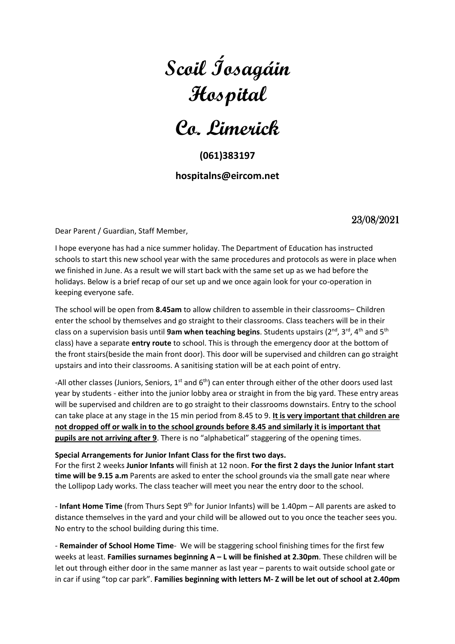# **Scoil Íosagáin Hospital**

**Co. Limerick**

## **(061)383197**

### **hospitalns@eircom.net**

## 23/08/2021

Dear Parent / Guardian, Staff Member,

I hope everyone has had a nice summer holiday. The Department of Education has instructed schools to start this new school year with the same procedures and protocols as were in place when we finished in June. As a result we will start back with the same set up as we had before the holidays. Below is a brief recap of our set up and we once again look for your co-operation in keeping everyone safe.

The school will be open from **8.45am** to allow children to assemble in their classrooms– Children enter the school by themselves and go straight to their classrooms. Class teachers will be in their class on a supervision basis until 9am when teaching begins. Students upstairs (2<sup>nd</sup>, 3<sup>rd</sup>, 4<sup>th</sup> and 5<sup>th</sup> class) have a separate **entry route** to school. This is through the emergency door at the bottom of the front stairs(beside the main front door). This door will be supervised and children can go straight upstairs and into their classrooms. A sanitising station will be at each point of entry.

-All other classes (Juniors, Seniors, 1<sup>st</sup> and 6<sup>th</sup>) can enter through either of the other doors used last year by students - either into the junior lobby area or straight in from the big yard. These entry areas will be supervised and children are to go straight to their classrooms downstairs. Entry to the school can take place at any stage in the 15 min period from 8.45 to 9. **It is very important that children are not dropped off or walk in to the school grounds before 8.45 and similarly it is important that pupils are not arriving after 9**. There is no "alphabetical" staggering of the opening times.

#### **Special Arrangements for Junior Infant Class for the first two days.**

For the first 2 weeks **Junior Infants** will finish at 12 noon. **For the first 2 days the Junior Infant start time will be 9.15 a.m** Parents are asked to enter the school grounds via the small gate near where the Lollipop Lady works. The class teacher will meet you near the entry door to the school.

- **Infant Home Time** (from Thurs Sept 9th for Junior Infants) will be 1.40pm – All parents are asked to distance themselves in the yard and your child will be allowed out to you once the teacher sees you. No entry to the school building during this time.

- **Remainder of School Home Time**- We will be staggering school finishing times for the first few weeks at least. **Families surnames beginning A – L will be finished at 2.30pm**. These children will be let out through either door in the same manner as last year – parents to wait outside school gate or in car if using "top car park". **Families beginning with letters M- Z will be let out of school at 2.40pm**